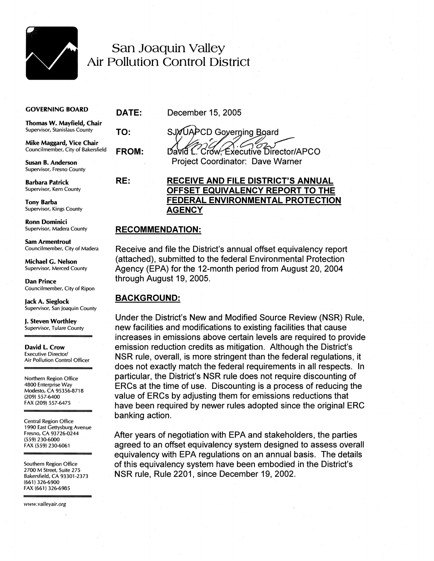

## San Joaquin Valley Air Pollution Control District

## **GOVERNING BOARD**

**TO:** 

**RE:** 

**Thomas W. Mayfield, Chair**  Supervisor, Stanislaus County

**Mike Maggard, Vice Chair**  Councilmember, City of Bakersfield

**Susan B. Anderson**  Supervisor, Fresno County

**Barbara Patrick**  Supervisor, Kern County

**Tony Barba**  Supervisor, Kings County

**Ronn Dominici**  Supervisor, Madera County

**Sam Armentrout**  Councilmember, City of Madera

**Michael G. Nelson**  Supervisor, Merced County

**Dan Prince**  Councilmember, City of Ripon

**Jack A. Sieglock**  Supervisor, San Joaquin County

**J. Steven Worthley**  Supervisor, Tulare County

**David 1. Crow**  Executive Director/ Air Pollution Control Officer

Northern Region Office 4800 Enterprise Way Modesto, CA 95356-8718 (209) 557-6400 FAX (209) 557-6475

Central Region Office 1990 East Gettysburg Avenue Fresno, CA 93726-0244 (559) 230-6000 FAX (559) 230-6061

Southern Region Office 2700 M Street, Suite 275 Bakersfield, CA 93301-2373 (661) 326-6900 FAX (661) 326-6985

www.valleyair.org

**DATE:** December 15,2005

SJYUAPCD Governing Board **FROM:** David L. Crow. Executive Director/APCO

Project Coordinator: Dave Warner

## **RECEIVE AND FILE DISTRICT'S ANNUAL OFFSET EQUIVALENCY REPORT TO THE FEDERAL ENVIRONMENTAL PROTECTION AGENCY**

## **RECOMMENDATION:**

Receive and file the District's annual offset equivalency report (attached), submitted to the federal Environmental Protection Agency (EPA) for the 12-month period from August 20, 2004 through August 19, 2005.

## **BACKGROUND:**

Under the District's New and Modified Source Review (NSR) Rule, new facilities and modifications to existing facilities that cause increases in emissions above certain levels are required to provide emission reduction credits as mitigation. Although the District's NSR rule, overall, is more stringent than the federal regulations, it does not exactly match the federal requirements in all respects. In particular, the District's NSR rule does not require discounting of ERCs at the time of use. Discounting is a process of reducing the value of ERCs by adjusting them for emissions reductions that have been required by newer rules adopted since the original ERC banking action.

After years of negotiation with EPA and stakeholders, the parties agreed to an offset equivalency system designed to assess overall equivalency with EPA regulations on an annual basis. The details of this equivalency system have been embodied in the District's NSR rule, Rule 2201, since December 19, 2002.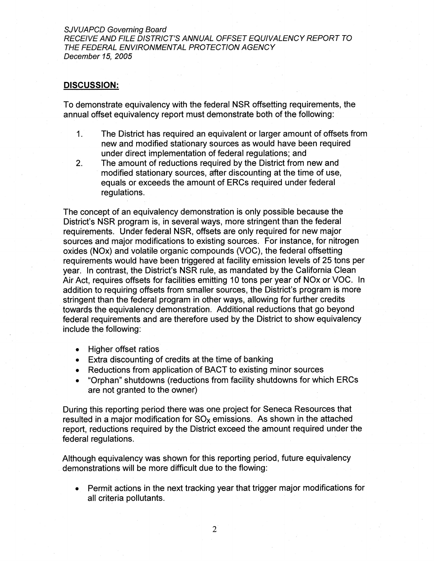SJVUAPCD Governing Board RECEIVE AND FILE DISTRICT'S ANNUAL OFFSET EQUIVALENCY REPORT TO THE FEDERAL ENVIRONMENTAL PROTECTION AGENCY December 15, 2005

## **DISCUSSION:**

To demonstrate equivalency with the federal NSR offsetting requirements, the annual offset equivalency report must demonstrate both of the following:

- 1. The District has required an equivalent or larger amount of offsets from new and modified stationary sources as would have been required under direct implementation of federal regulations; and
- 2. The amount of reductions required by the District from new and modified stationary sources, after discounting at the time of use, equals or exceeds the amount of ERCs required under federal regulations.

The concept of an equivalency demonstration is only possible because the District's NSR program is, in several ways, more stringent than the federal requirements. Under federal NSR, offsets are only required for new major sources and major modifications to existing sources. For instance, for nitrogen oxides (NOx) and volatile organic compounds (VOC), the federal offsetting requirements would have been triggered at facility emission levels of 25 tons per year. In contrast, the District's NSR rule, as mandated by the California Clean Air Act, requires offsets for facilities emitting 10 tons per year of NOx or VOC. In addition to requiring offsets from smaller sources, the District's program is more stringent than the federal program in other ways, allowing for further credits towards the equivalency demonstration. Additional reductions that go beyond federal requirements and are therefore used by the District to show equivalency include the following:

- Higher offset ratios
- Extra discounting of credits at the time of banking
- Reductions from application of BACT to existing minor sources
- "Orphan" shutdowns (reductions from facility shutdowns for which ERCs  $\bullet$ are not granted to the owner)

During this reporting period there was one project for Seneca Resources that resulted in a major modification for  $SO<sub>x</sub>$  emissions. As shown in the attached report, reductions required by the District exceed the amount required under the federal regulations.

Although equivalency was shown for this reporting period, future equivalency demonstrations will be more difficult due to the flowing:

Permit actions in the next tracking year that trigger major modifications for all criteria pollutants.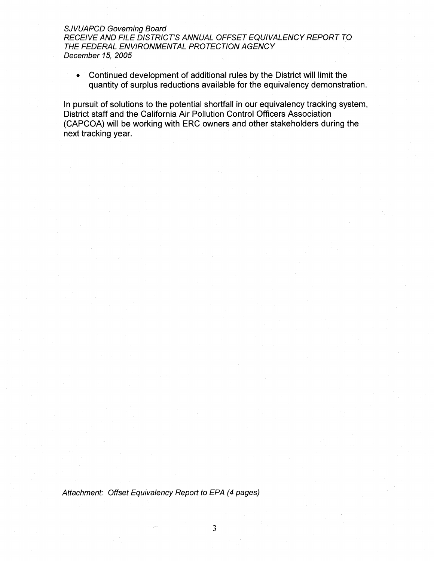## SJVUAPCD Governing Board

RECEIVE AND FILE DISTRICT'S ANNUAL OFFSET EQUIVALENCY REPORT TO THE FEDERAL ENVIRONMENTAL PROTECTION AGENCY December 15, 2005

Continued development of additional rules by the District will limit the quantity of surplus reductions available for the equivalency demonstration.

In pursuit of solutions to the potential shortfall in our equivalency tracking system, District staff and the California Air Pollution Control Officers Association (CAPCOA) will be working with ERC owners and other stakeholders during the next tracking year.

Attachment: Offset Equivalency Report to EPA (4 pages)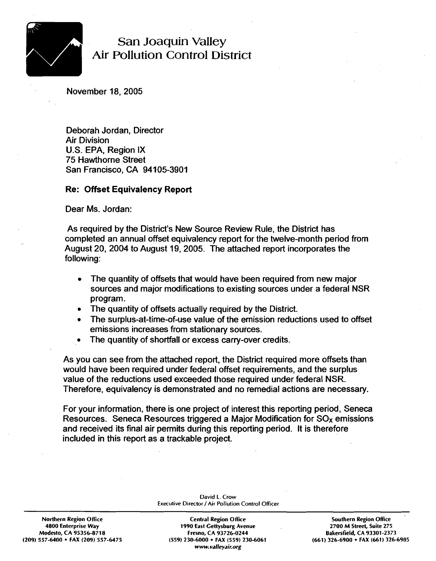

## **San Joaquin Valley Air Pollution Control District**

November 18,2005

Deborah Jordan, Director Air Division U.S. EPA, Region IX 75 Hawthorne Street San Francisco, CA 94105-3901

## **Re: Offset Equivalency Report**

Dear Ms. Jordan:

As required by the District's New Source Review Rule, the District has completed an annual offset equivalency report for the twelve-month period from August 20,2004 to August 19,2005. The attached report incorporates the following:

- The quantity of offsets that would have been required from new major sources and major modifications to existing sources under a federal NSR program.
- The quantity of offsets actually required by the District.  $\bullet$
- The surplus-at-time-of-use value of the emission reductions used to offset emissions increases from stationary sources.
- The quantity of shortfall or excess carry-over credits.

As you can see from the attached report, the District required more offsets than would have been required under federal offset requirements, and the surplus value of the reductions used exceeded those required under federal NSR. Therefore, equivalency is demonstrated and no remedial actions are necessary.

For your information, there is one project of interest this reporting period, Seneca Resources. Seneca Resources triggered a Major Modification for  $SO<sub>x</sub>$  emissions and received its final air permits during this reporting period. It is therefore included in this report as a trackable project.

> **David L. Crow Executive Director / Air Pollution Control Officer**

Northern Region Office **Central Region Office Southern Region Office** Southern Region Office **4800 Enterprise Way 1990 East Gettysburg Avenue 2700 M Slreet, Suile 275**  Modesto, CA 95356-8718 **Fresno, CA 93726-0244** Bakersfield, CA 93301-2373<br>1-326 Fresno, CA 93726-0244 Bakersfield, CA 93301-2373 129-6900 **Fresno, CA 93726-0244** (209) 557-6400 **FAX** (661) **(209) 557-6400 FAX (209) 557-6475 (559) 230-6000 FAX (559) 230-6061 (661) 326-6900 FAX (661) 326-6985 www. valleyair.org**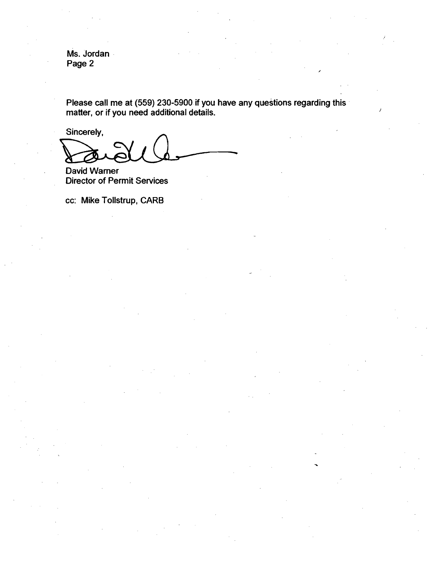**Ms. Jordan Page 2** 

**Please call me at (559) 230-5900 if you have any questions regarding this matter, or if you need additional details.** *CONDITY CONDITY CONDITY /* 

Sincerely,

**David Warner Director of Permit Services** 

**cc: Mike Tollstrup, CARB**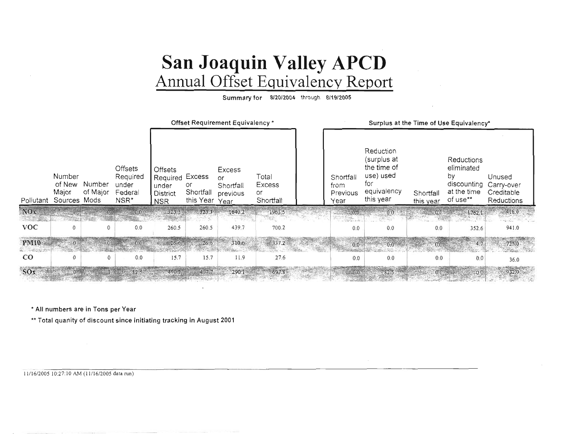# San Joaquin Valley APCD<br>Annual Offset Equivalency Report

Summary for 8/20/2004 through 8/19/2005

|                          |                                           |                    |                                                 | Offset Requirement Equivalency *                              |                              |                                                       |                                           |  | Surplus at the Time of Use Equivalency* |                                                                                         |                        |                                                                          |                                                  |
|--------------------------|-------------------------------------------|--------------------|-------------------------------------------------|---------------------------------------------------------------|------------------------------|-------------------------------------------------------|-------------------------------------------|--|-----------------------------------------|-----------------------------------------------------------------------------------------|------------------------|--------------------------------------------------------------------------|--------------------------------------------------|
| Pollutant                | Number<br>of New<br>Major<br>Sources Mods | Number<br>of Major | Offsets<br>Required<br>under<br>Federal<br>NSR* | Offsets<br>Required Excess<br>under<br>District<br><b>NSR</b> | or<br>Shortfall<br>this Year | <b>Excess</b><br>or.<br>Shortfall<br>previous<br>Year | Total<br><b>Excess</b><br>or<br>Shortfall |  | Shortfall<br>from<br>Previous<br>Year   | Reduction<br>(surplus at<br>the time of<br>use) used<br>for<br>equivalency<br>this year | Shortfall<br>this year | Reductions<br>eliminated<br>by<br>discounting<br>at the time<br>of use** | Unused<br>Carry-over<br>Creditable<br>Reductions |
| NOx<br><b>STATISTICS</b> |                                           |                    |                                                 | 323.3                                                         | 3233                         | 1640.2                                                | 1963.5                                    |  |                                         |                                                                                         |                        | $0.0$ 1762.1.                                                            | 416.0                                            |
| <b>VOC</b>               | $\mathbf{0}$                              |                    | 0.0                                             | 260.5                                                         | 260.5                        | 439.7                                                 | 700.2                                     |  | 0.0                                     | 0.0                                                                                     | 0.0                    | 352.6                                                                    | 941.0                                            |
| <b>PM10</b>              |                                           |                    | $0.0^{\circ}$                                   | $-26.6$                                                       | $-26.6$                      | 310.6                                                 | 337.2                                     |  | 0.0                                     | $0.0 - 0.0$                                                                             | 0.0                    | 4.7                                                                      | 725.0                                            |
| 中華の文字<br>$_{\rm CO}$     |                                           | $\mathbf{0}$       | 0.0                                             | 15.7                                                          | 15.7                         | 11.9                                                  | 27.6                                      |  | 0.0                                     | 0.0                                                                                     | 0.0                    | 0.0                                                                      | 36.0                                             |
| SOx                      |                                           |                    | 82.5                                            | 490.2                                                         | 407.7                        | 290.1                                                 |                                           |  |                                         | 82.5                                                                                    |                        | $-0.0$                                                                   |                                                  |

\* All numbers are in Tons per Year

\*\* Total quanity of discount since initiating tracking in August 2001